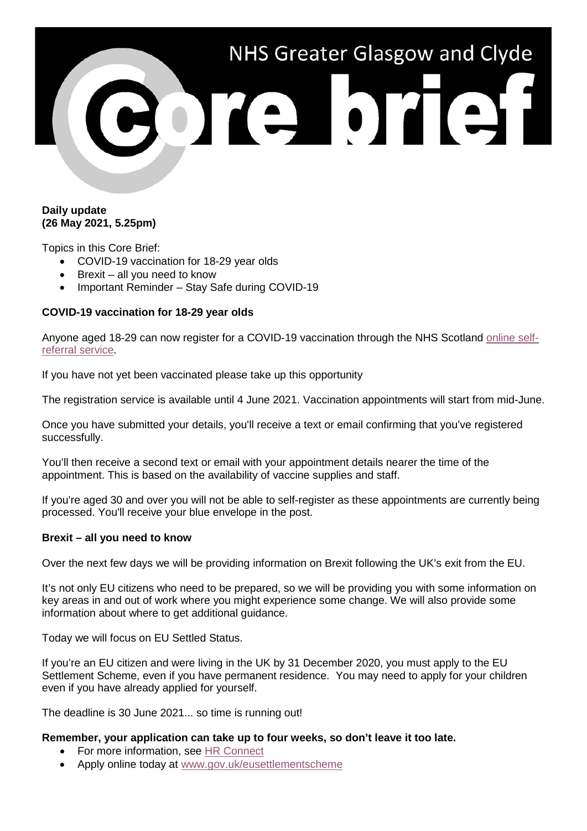# NHS Greater Glasgow and Clyde ore brief

## **Daily update (26 May 2021, 5.25pm)**

Topics in this Core Brief:

- COVID-19 vaccination for 18-29 year olds
- Brexit all you need to know
- Important Reminder Stay Safe during COVID-19

# **COVID-19 vaccination for 18-29 year olds**

Anyone aged 18-29 can now register for a COVID-19 vaccination through the NHS Scotland [online self](https://www.nhsinform.scot/under30register)[referral service.](https://www.nhsinform.scot/under30register)

If you have not yet been vaccinated please take up this opportunity

The registration service is available until 4 June 2021. Vaccination appointments will start from mid-June.

Once you have submitted your details, you'll receive a text or email confirming that you've registered successfully.

You'll then receive a second text or email with your appointment details nearer the time of the appointment. This is based on the availability of vaccine supplies and staff.

If you're aged 30 and over you will not be able to self-register as these appointments are currently being processed. You'll receive your blue envelope in the post.

#### **Brexit – all you need to know**

Over the next few days we will be providing information on Brexit following the UK's exit from the EU.

It's not only EU citizens who need to be prepared, so we will be providing you with some information on key areas in and out of work where you might experience some change. We will also provide some information about where to get additional guidance.

Today we will focus on EU Settled Status.

If you're an EU citizen and were living in the UK by 31 December 2020, you must apply to the EU Settlement Scheme, even if you have permanent residence. You may need to apply for your children even if you have already applied for yourself.

The deadline is 30 June 2021... so time is running out!

#### **Remember, your application can take up to four weeks, so don't leave it too late.**

- For more information, see [HR Connect](https://www.nhsggc.org.uk/working-with-us/hr-connect/brexit-information-for-managers-staff/)
- Apply online today at [www.gov.uk/eusettlementscheme](http://www.gov.uk/eusettlementscheme)